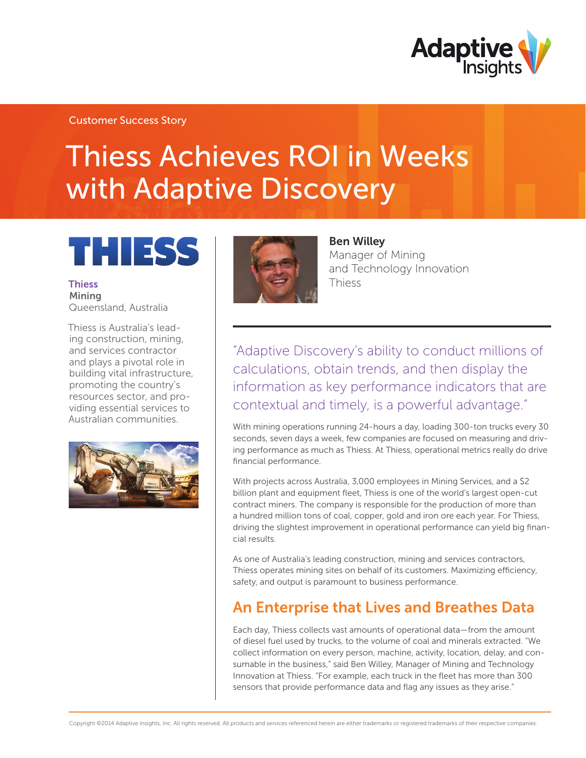

# Thiess Achieves ROI in Weeks with Adaptive Discovery

# THE ESS

**Thiess** Mining Queensland, Australia

Thiess is Australia's leading construction, mining, and services contractor and plays a pivotal role in building vital infrastructure, promoting the country's resources sector, and providing essential services to Australian communities.





#### Ben Willey

Manager of Mining and Technology Innovation Thiess

"Adaptive Discovery's ability to conduct millions of calculations, obtain trends, and then display the information as key performance indicators that are contextual and timely, is a powerful advantage."

With mining operations running 24-hours a day, loading 300-ton trucks every 30 seconds, seven days a week, few companies are focused on measuring and driving performance as much as Thiess. At Thiess, operational metrics really do drive financial performance.

With projects across Australia, 3,000 employees in Mining Services, and a \$2 billion plant and equipment fleet, Thiess is one of the world's largest open-cut contract miners. The company is responsible for the production of more than a hundred million tons of coal, copper, gold and iron ore each year. For Thiess, driving the slightest improvement in operational performance can yield big financial results.

As one of Australia's leading construction, mining and services contractors, Thiess operates mining sites on behalf of its customers. Maximizing efficiency, safety, and output is paramount to business performance.

## An Enterprise that Lives and Breathes Data

Each day, Thiess collects vast amounts of operational data—from the amount of diesel fuel used by trucks, to the volume of coal and minerals extracted. "We collect information on every person, machine, activity, location, delay, and consumable in the business," said Ben Willey, Manager of Mining and Technology Innovation at Thiess. "For example, each truck in the fleet has more than 300 sensors that provide performance data and flag any issues as they arise."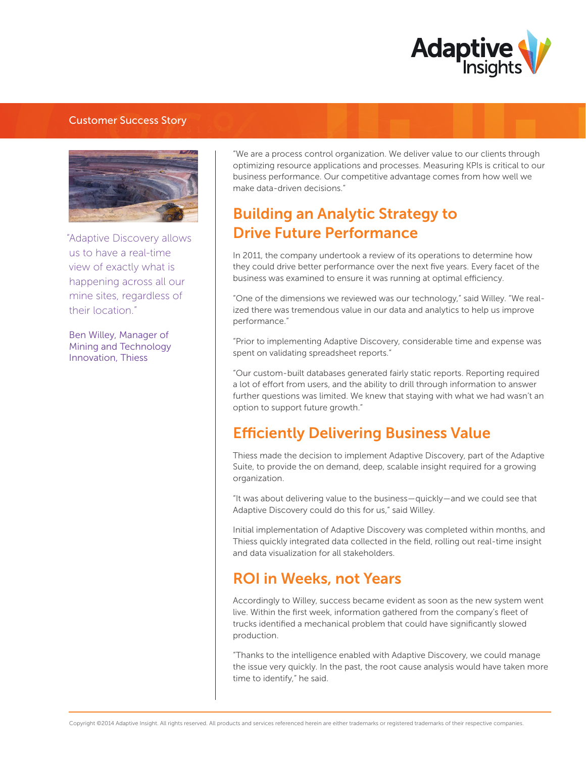



"Adaptive Discovery allows us to have a real-time view of exactly what is happening across all our mine sites, regardless of their location."

Ben Willey, Manager of Mining and Technology Innovation, Thiess

"We are a process control organization. We deliver value to our clients through optimizing resource applications and processes. Measuring KPIs is critical to our business performance. Our competitive advantage comes from how well we make data-driven decisions."

## Building an Analytic Strategy to Drive Future Performance

In 2011, the company undertook a review of its operations to determine how they could drive better performance over the next five years. Every facet of the business was examined to ensure it was running at optimal efficiency.

"One of the dimensions we reviewed was our technology," said Willey. "We realized there was tremendous value in our data and analytics to help us improve performance."

"Prior to implementing Adaptive Discovery, considerable time and expense was spent on validating spreadsheet reports."

"Our custom-built databases generated fairly static reports. Reporting required a lot of effort from users, and the ability to drill through information to answer further questions was limited. We knew that staying with what we had wasn't an option to support future growth."

## **Efficiently Delivering Business Value**

Thiess made the decision to implement Adaptive Discovery, part of the Adaptive Suite, to provide the on demand, deep, scalable insight required for a growing organization.

"It was about delivering value to the business—quickly—and we could see that Adaptive Discovery could do this for us," said Willey.

Initial implementation of Adaptive Discovery was completed within months, and Thiess quickly integrated data collected in the field, rolling out real-time insight and data visualization for all stakeholders.

## ROI in Weeks, not Years

Accordingly to Willey, success became evident as soon as the new system went live. Within the first week, information gathered from the company's fleet of trucks identified a mechanical problem that could have significantly slowed production.

"Thanks to the intelligence enabled with Adaptive Discovery, we could manage the issue very quickly. In the past, the root cause analysis would have taken more time to identify," he said.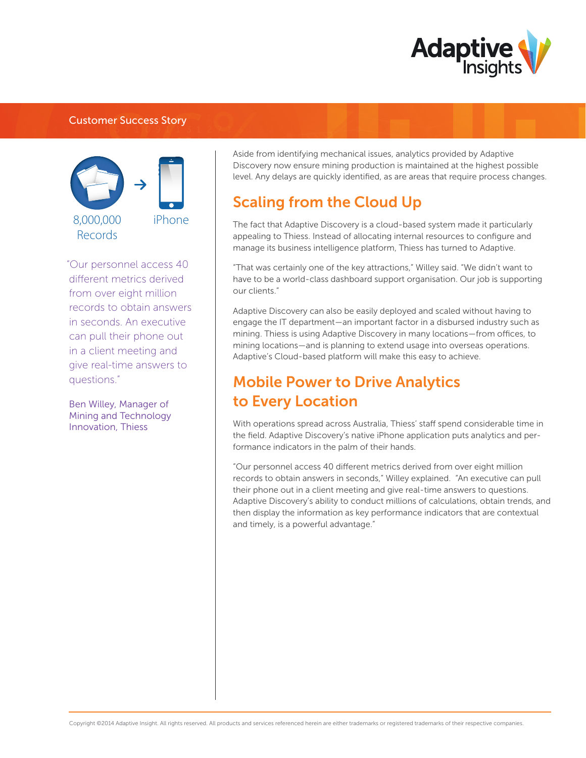



"Our personnel access 40 different metrics derived from over eight million records to obtain answers in seconds. An executive can pull their phone out in a client meeting and give real-time answers to questions."

Ben Willey, Manager of Mining and Technology Innovation, Thiess

Aside from identifying mechanical issues, analytics provided by Adaptive Discovery now ensure mining production is maintained at the highest possible level. Any delays are quickly identified, as are areas that require process changes.

## Scaling from the Cloud Up

The fact that Adaptive Discovery is a cloud-based system made it particularly appealing to Thiess. Instead of allocating internal resources to configure and manage its business intelligence platform, Thiess has turned to Adaptive.

"That was certainly one of the key attractions," Willey said. "We didn't want to have to be a world-class dashboard support organisation. Our job is supporting our clients."

Adaptive Discovery can also be easily deployed and scaled without having to engage the IT department—an important factor in a disbursed industry such as mining. Thiess is using Adaptive Discovery in many locations-from offices, to mining locations—and is planning to extend usage into overseas operations. Adaptive's Cloud-based platform will make this easy to achieve.

# Mobile Power to Drive Analytics to Every Location

With operations spread across Australia, Thiess' staff spend considerable time in the field. Adaptive Discovery's native iPhone application puts analytics and performance indicators in the palm of their hands.

"Our personnel access 40 different metrics derived from over eight million records to obtain answers in seconds," Willey explained. "An executive can pull their phone out in a client meeting and give real-time answers to questions. Adaptive Discovery's ability to conduct millions of calculations, obtain trends, and then display the information as key performance indicators that are contextual and timely, is a powerful advantage."